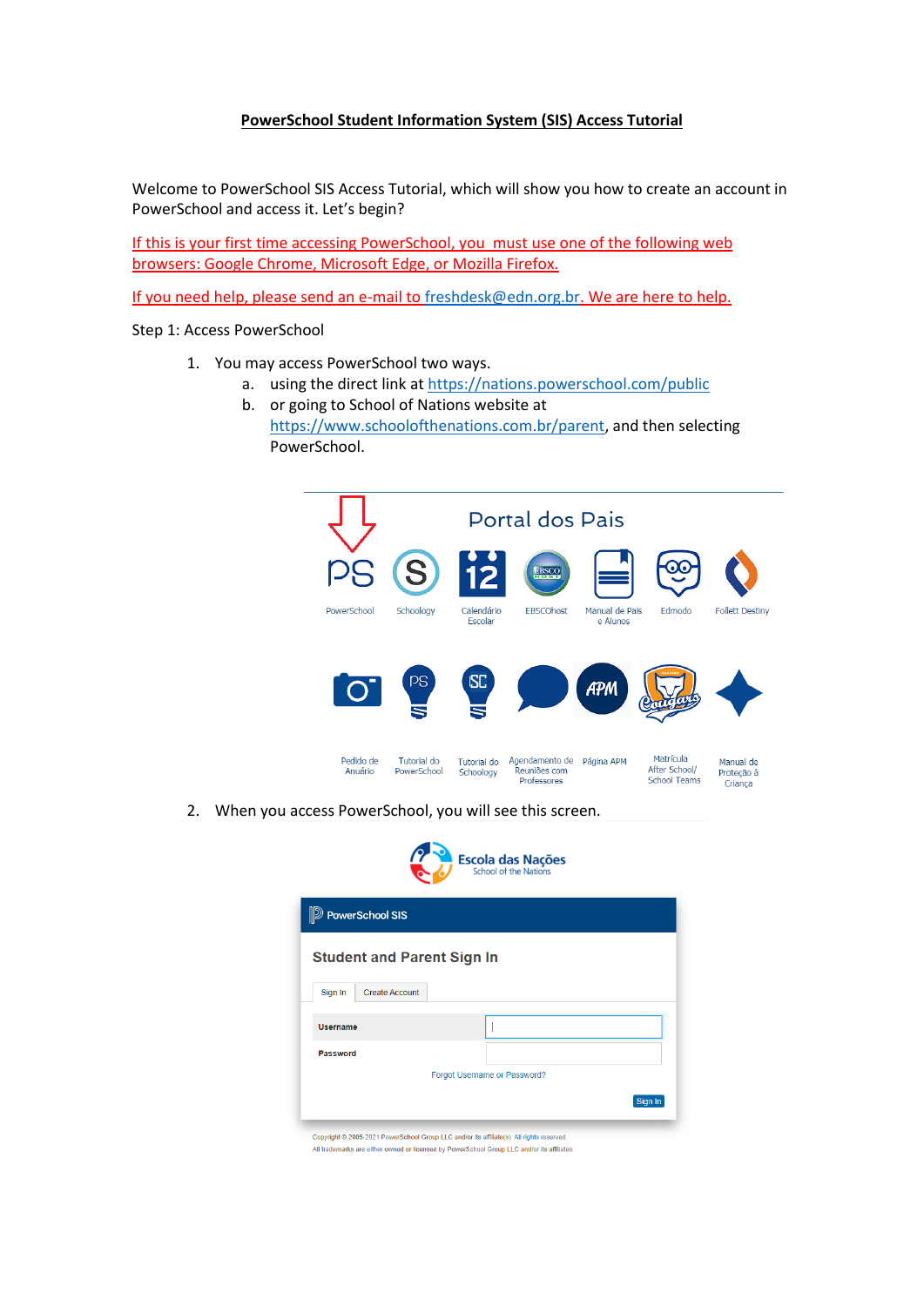## **PowerSchool Student Information System (SIS) Access Tutorial**

Welcome to PowerSchool SIS Access Tutorial, which will show you how to create an account in PowerSchool and access it. Let's begin?

If this is your first time accessing PowerSchool, you must use one of the following web browsers: Google Chrome, Microsoft Edge, or Mozilla Firefox.

If you need help, please send an e-mail t[o freshdesk@edn.org.br.](mailto:freshdesk@edn.org.br) We are here to help.

Step 1: Access PowerSchool

- 1. You may access PowerSchool two ways.
	- a. using the direct link a[t https://nations.powerschool.com/public](https://nations.powerschool.com/public)
	- b. or going to School of Nations website at [https://www.schoolofthenations.com.br/parent,](https://www.schoolofthenations.com.br/parents) and then selecting PowerSchool.



2. When you access PowerSchool, you will see this screen.



Sign In

Copyright @ 2005-2021 PowerSchool Group LLC and/or its affiliate(s). All rights reserved All trademarks are either owned or licensed by PowerSchool Group LLC and/or its affiliates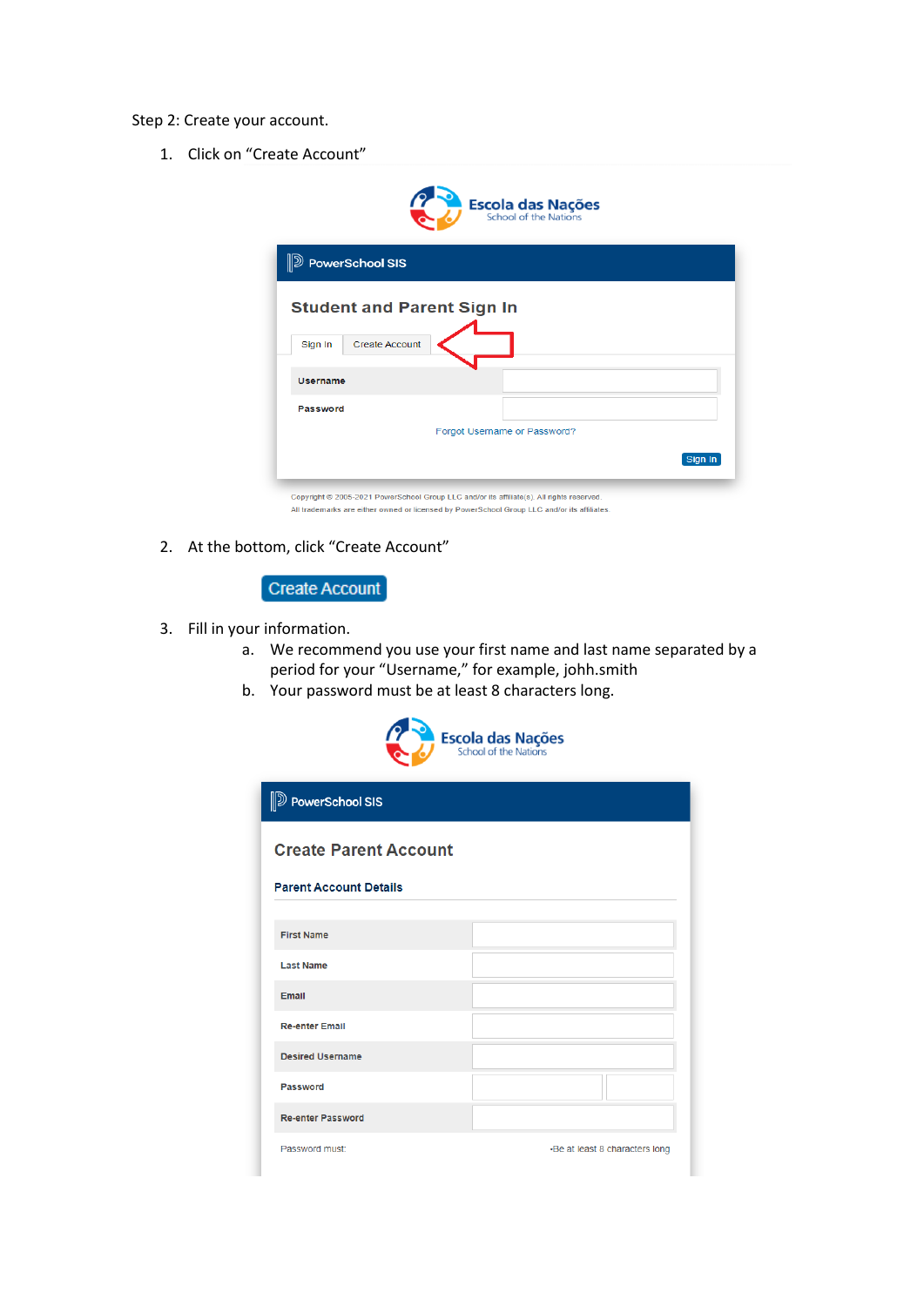## Step 2: Create your account.

1. Click on "Create Account"

|                 | <b>PowerSchool SIS</b>            |                              |  |  |
|-----------------|-----------------------------------|------------------------------|--|--|
|                 | <b>Student and Parent Sign In</b> |                              |  |  |
| Sign In         | <b>Create Account</b>             |                              |  |  |
|                 |                                   |                              |  |  |
| <b>Username</b> |                                   |                              |  |  |
| Password        |                                   |                              |  |  |
|                 |                                   | Forgot Username or Password? |  |  |

2. At the bottom, click "Create Account"



- 3. Fill in your information.
	- a. We recommend you use your first name and last name separated by a period for your "Username," for example, johh.smith
	- b. Your password must be at least 8 characters long.



| <b>D</b> PowerSchool SIS      |                                |
|-------------------------------|--------------------------------|
| <b>Create Parent Account</b>  |                                |
| <b>Parent Account Details</b> |                                |
| <b>First Name</b>             |                                |
| <b>Last Name</b>              |                                |
| Email                         |                                |
| <b>Re-enter Email</b>         |                                |
| <b>Desired Username</b>       |                                |
| Password                      |                                |
| <b>Re-enter Password</b>      |                                |
| Password must:                | •Be at least 8 characters long |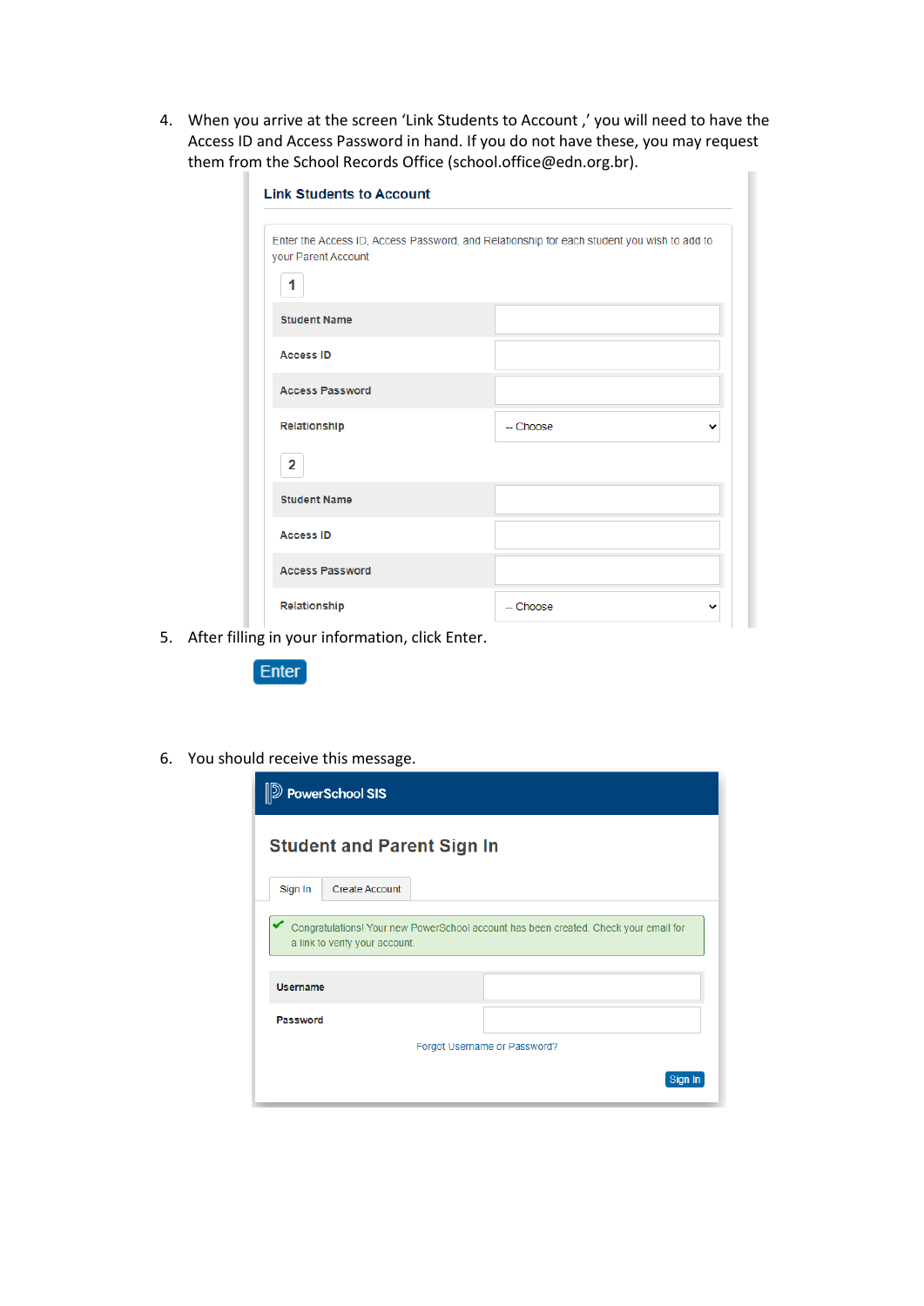4. When you arrive at the screen 'Link Students to Account ,' you will need to have the Access ID and Access Password in hand. If you do not have these, you may request them from the School Records Office (school.office@edn.org.br).

| <b>Link Students to Account</b> |                                                                                            |
|---------------------------------|--------------------------------------------------------------------------------------------|
| your Parent Account<br>1        | Enter the Access ID, Access Password, and Relationship for each student you wish to add to |
| <b>Student Name</b>             |                                                                                            |
| <b>Access ID</b>                |                                                                                            |
| <b>Access Password</b>          |                                                                                            |
| Relationship                    | -- Choose                                                                                  |
| $\mathbf{2}$                    |                                                                                            |
| <b>Student Name</b>             |                                                                                            |
| <b>Access ID</b>                |                                                                                            |
| <b>Access Password</b>          |                                                                                            |
| Relationship                    | -- Choose                                                                                  |

5. After filling in your information, click Enter.



6. You should receive this message.

|          | <b>DEP PowerSchool SIS</b>                                                                                             |                              |  |
|----------|------------------------------------------------------------------------------------------------------------------------|------------------------------|--|
|          | <b>Student and Parent Sign In</b>                                                                                      |                              |  |
| Sign In  | <b>Create Account</b>                                                                                                  |                              |  |
| Username | Congratulations! Your new PowerSchool account has been created. Check your email for<br>a link to verify your account. |                              |  |
| Password |                                                                                                                        |                              |  |
|          |                                                                                                                        | Forgot Username or Password? |  |
|          |                                                                                                                        |                              |  |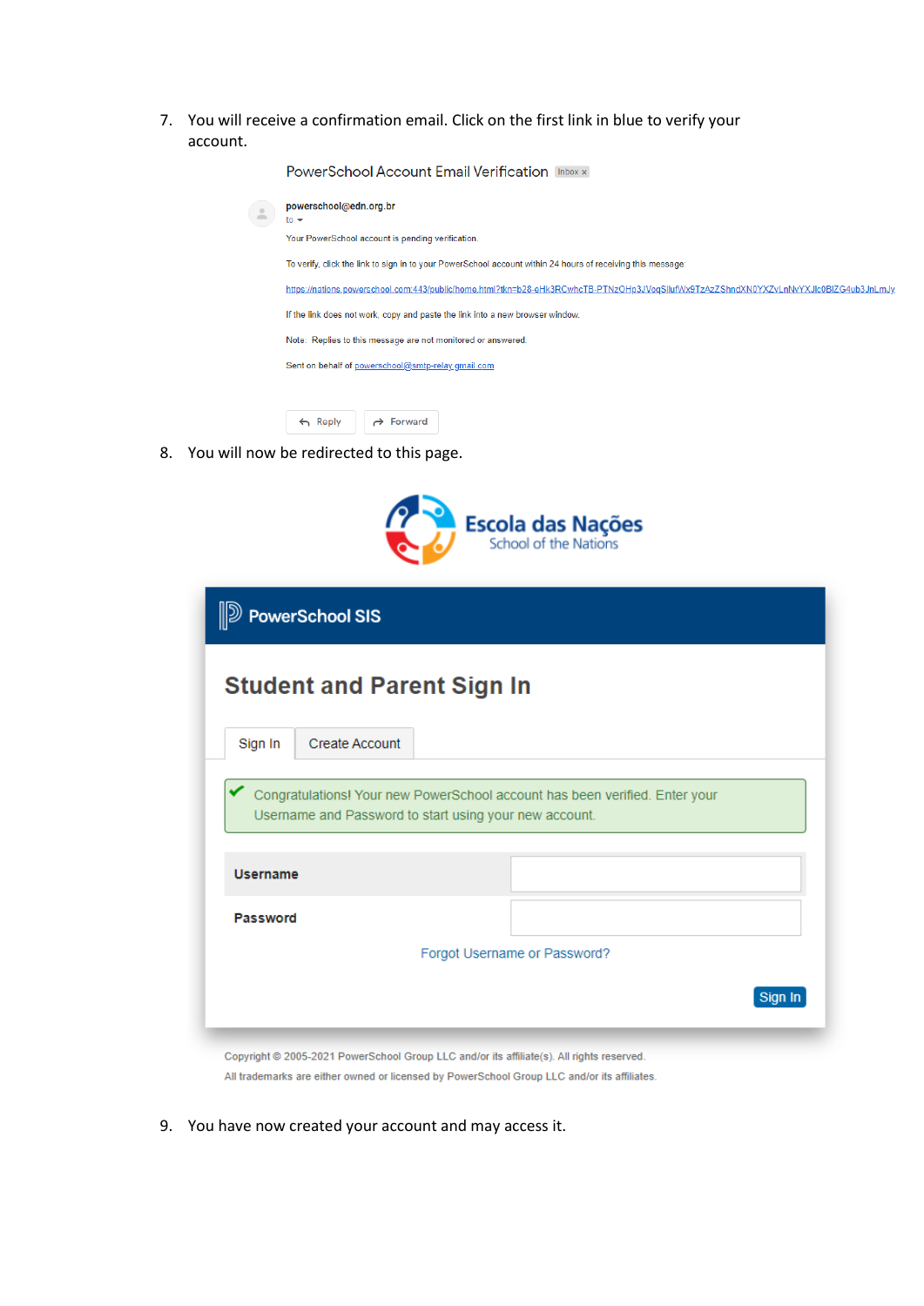7. You will receive a confirmation email. Click on the first link in blue to verify your account.

| <b>PowerSchool Account Email Verification</b> Inbox x                                                                                |
|--------------------------------------------------------------------------------------------------------------------------------------|
| powerschool@edn.org.br<br>$\frac{1}{10}$ $\star$                                                                                     |
| Your PowerSchool account is pending verification.                                                                                    |
| To verify, click the link to sign in to your PowerSchool account within 24 hours of receiving this message:                          |
| https://nations.powerschool.com:443/public/home.html?tkn=b28-eHk3RCwhcTB-PTNzOHp3JVoqSllufWx9TzAzZShndXN0YXZvLnNvYXJlc0BlZG4ub3JnLmJ |
| If the link does not work, copy and paste the link into a new browser window.                                                        |
| Note: Replies to this message are not monitored or answered.                                                                         |
| Sent on behalf of powerschool@smtp-relay.gmail.com                                                                                   |
|                                                                                                                                      |
|                                                                                                                                      |

8. You will now be redirected to this page.

Reply A Forward



|                 |                       | <b>Student and Parent Sign In</b>                                           |
|-----------------|-----------------------|-----------------------------------------------------------------------------|
| Sign In         | <b>Create Account</b> |                                                                             |
|                 |                       | Congratulations! Your new PowerSchool account has been verified. Enter your |
|                 |                       |                                                                             |
|                 |                       | Username and Password to start using your new account.                      |
|                 |                       |                                                                             |
| <b>Username</b> |                       |                                                                             |
| Password        |                       |                                                                             |
|                 |                       |                                                                             |
|                 |                       | Forgot Username or Password?                                                |

All trademarks are either owned or licensed by PowerSchool Group LLC and/or its affiliates.

9. You have now created your account and may access it.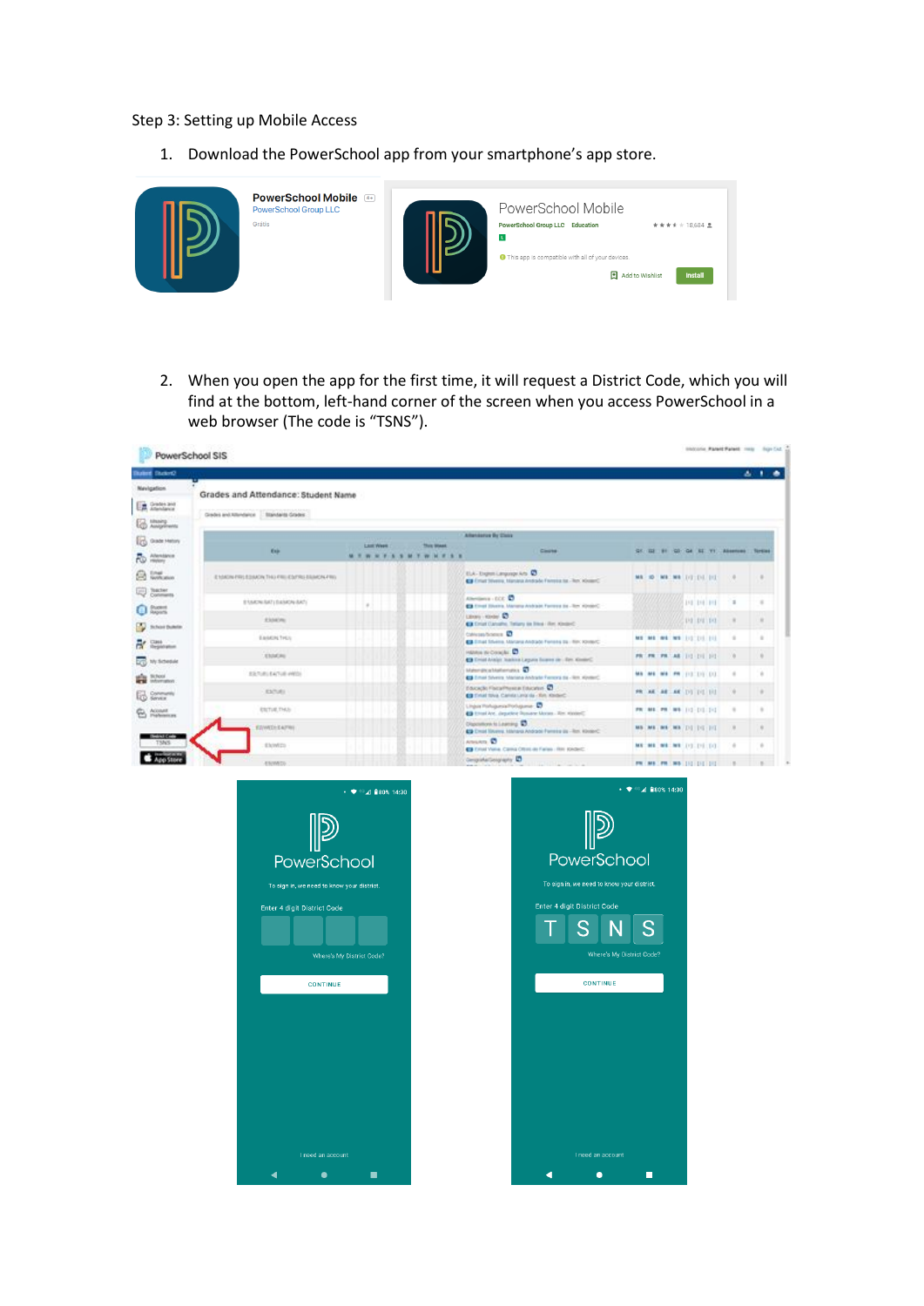## Step 3: Setting up Mobile Access

1. Download the PowerSchool app from your smartphone's app store.



2. When you open the app for the first time, it will request a District Code, which you will find at the bottom, left-hand corner of the screen when you access PowerSchool in a web browser (The code is "TSNS").